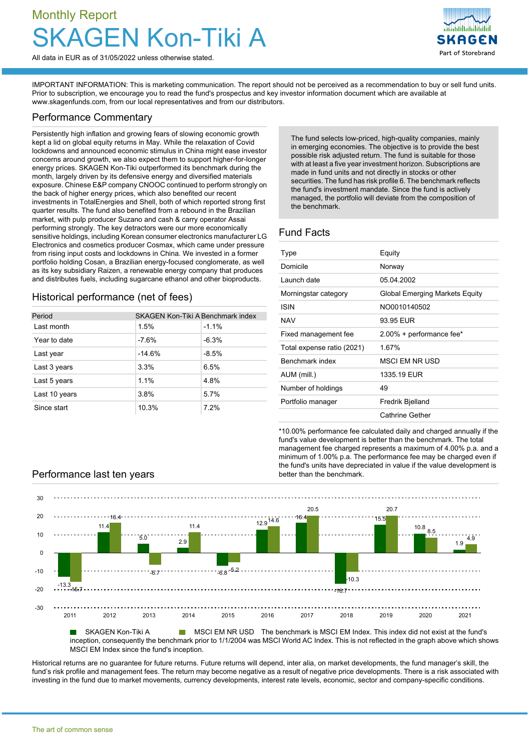# Monthly Report Kon-Tiki A



All data in EUR as of 31/05/2022 unless otherwise stated.

IMPORTANT INFORMATION: This is marketing communication. The report should not be perceived as a recommendation to buy or sell fund units. Prior to subscription, we encourage you to read the fund's prospectus and key investor information document which are available at [www.skagenfunds.com](http://www.skagenfunds.com), from our local representatives and from our distributors.

### Performance Commentary

Persistently high inflation and growing fears of slowing economic growth kept a lid on global equity returns in May. While the relaxation of Covid lockdowns and announced economic stimulus in China might ease investor concerns around growth, we also expect them to support higher-for-longer energy prices. SKAGEN Kon-Tiki outperformed its benchmark during the month, largely driven by its defensive energy and diversified materials exposure. Chinese E&P company CNOOC continued to perform strongly on the back of higher energy prices, which also benefited our recent investments in TotalEnergies and Shell, both of which reported strong first quarter results. The fund also benefited from a rebound in the Brazilian market, with pulp producer Suzano and cash & carry operator Assai performing strongly. The key detractors were our more economically sensitive holdings, including Korean consumer electronics manufacturer LG Electronics and cosmetics producer Cosmax, which came under pressure from rising input costs and lockdowns in China. We invested in a former portfolio holding Cosan, a Brazilian energy-focused conglomerate, as well as its key subsidiary Raizen, a renewable energy company that produces and distributes fuels, including sugarcane ethanol and other bioproducts.

# Historical performance (net of fees)

| Period        | SKAGEN Kon-Tiki A Benchmark index |         |  |  |
|---------------|-----------------------------------|---------|--|--|
| Last month    | 1.5%                              | $-1.1%$ |  |  |
| Year to date  | $-7.6%$                           | $-6.3%$ |  |  |
| Last year     | $-14.6%$                          | $-8.5%$ |  |  |
| Last 3 years  | 3.3%                              | 6.5%    |  |  |
| Last 5 years  | 1.1%                              | 4.8%    |  |  |
| Last 10 years | 3.8%                              | 5.7%    |  |  |
| Since start   | 10.3%                             | 7.2%    |  |  |

The fund selects low-priced, high-quality companies, mainly in emerging economies. The objective is to provide the best possible risk adjusted return. The fund is suitable for those with at least a five year investment horizon. Subscriptions are made in fund units and not directly in stocks or other securities. The fund has risk profile 6. The benchmark reflects the fund's investment mandate. Since the fund is actively managed, the portfolio will deviate from the composition of the benchmark.

# Fund Facts

| Type                       | Equity                                |
|----------------------------|---------------------------------------|
| Domicile                   | Norway                                |
| Launch date                | 05.04.2002                            |
| Morningstar category       | <b>Global Emerging Markets Equity</b> |
| ISIN                       | NO0010140502                          |
| <b>NAV</b>                 | 93.95 EUR                             |
| Fixed management fee       | 2.00% + performance fee*              |
| Total expense ratio (2021) | 1.67%                                 |
| Benchmark index            | <b>MSCI EM NR USD</b>                 |
| AUM (mill.)                | 1335.19 EUR                           |
| Number of holdings         | 49                                    |
| Portfolio manager          | Fredrik Bjelland                      |
|                            | Cathrine Gether                       |

\*10.00% performance fee calculated daily and charged annually if the fund's value development is better than the benchmark. The total management fee charged represents a maximum of 4.00% p.a. and a minimum of 1.00% p.a. The performance fee may be charged even if the fund's units have depreciated in value if the value development is

# **Performance last ten years better than the benchmark.**



inception, consequently the benchmark prior to 1/1/2004 was MSCI World AC Index. This is not reflected in the graph above which shows MSCI EM Index since the fund's inception.

Historical returns are no guarantee for future returns. Future returns will depend, inter alia, on market developments, the fund manager's skill, the fund's risk profile and management fees. The return may become negative as a result of negative price developments. There is a risk associated with investing in the fund due to market movements, currency developments, interest rate levels, economic, sector and company-specific conditions.

The art of common sense